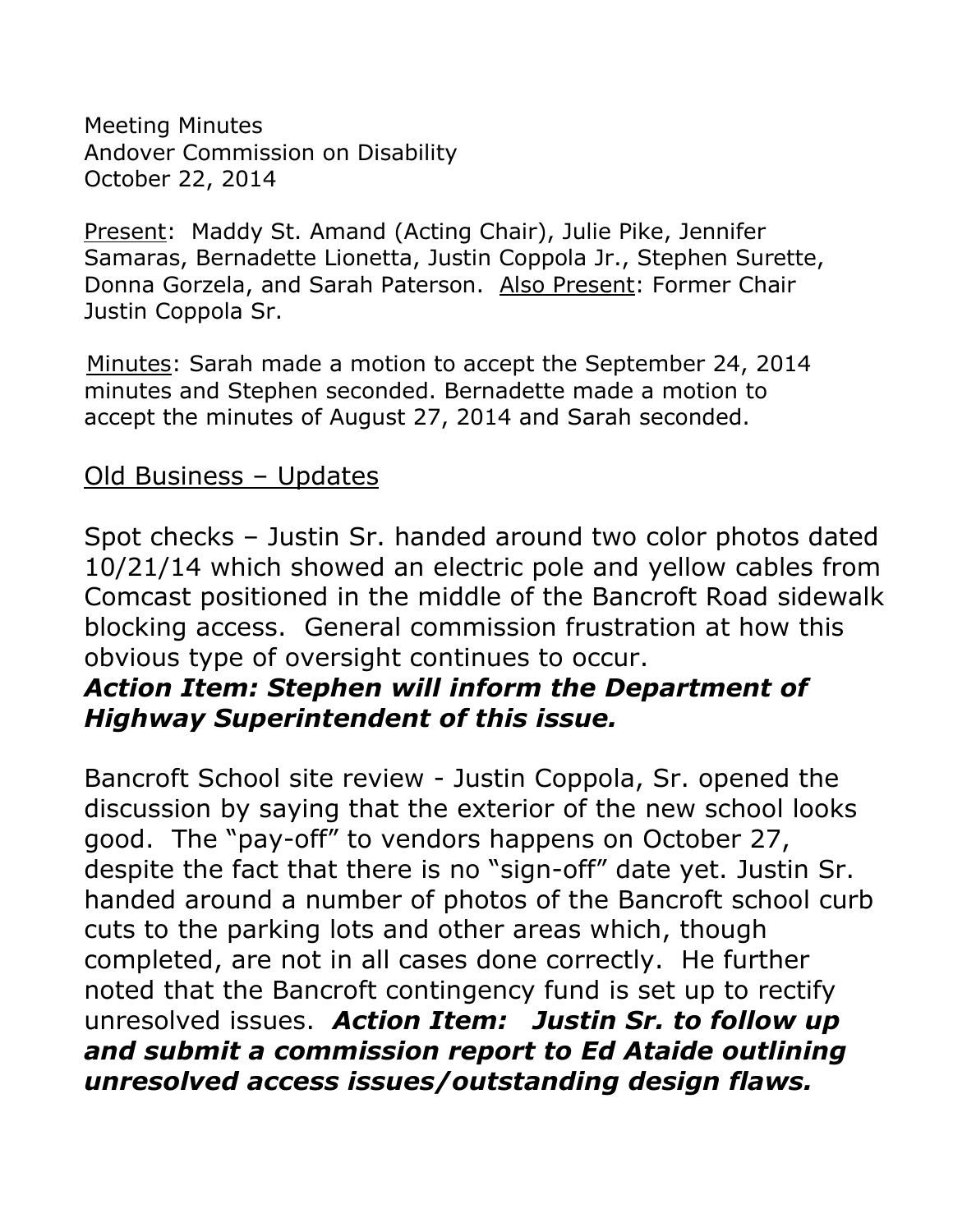Meeting Minutes Andover Commission on Disability October 22, 2014

Present: Maddy St. Amand (Acting Chair), Julie Pike, Jennifer Samaras, Bernadette Lionetta, Justin Coppola Jr., Stephen Surette, Donna Gorzela, and Sarah Paterson. Also Present: Former Chair Justin Coppola Sr.

 Minutes: Sarah made a motion to accept the September 24, 2014 minutes and Stephen seconded. Bernadette made a motion to accept the minutes of August 27, 2014 and Sarah seconded.

## Old Business – Updates

Spot checks – Justin Sr. handed around two color photos dated 10/21/14 which showed an electric pole and yellow cables from Comcast positioned in the middle of the Bancroft Road sidewalk blocking access. General commission frustration at how this obvious type of oversight continues to occur.

## *Action Item: Stephen will inform the Department of Highway Superintendent of this issue.*

Bancroft School site review - Justin Coppola, Sr. opened the discussion by saying that the exterior of the new school looks good. The "pay-off" to vendors happens on October 27, despite the fact that there is no "sign-off" date yet. Justin Sr. handed around a number of photos of the Bancroft school curb cuts to the parking lots and other areas which, though completed, are not in all cases done correctly. He further noted that the Bancroft contingency fund is set up to rectify unresolved issues. *Action Item: Justin Sr. to follow up and submit a commission report to Ed Ataide outlining unresolved access issues/outstanding design flaws.*